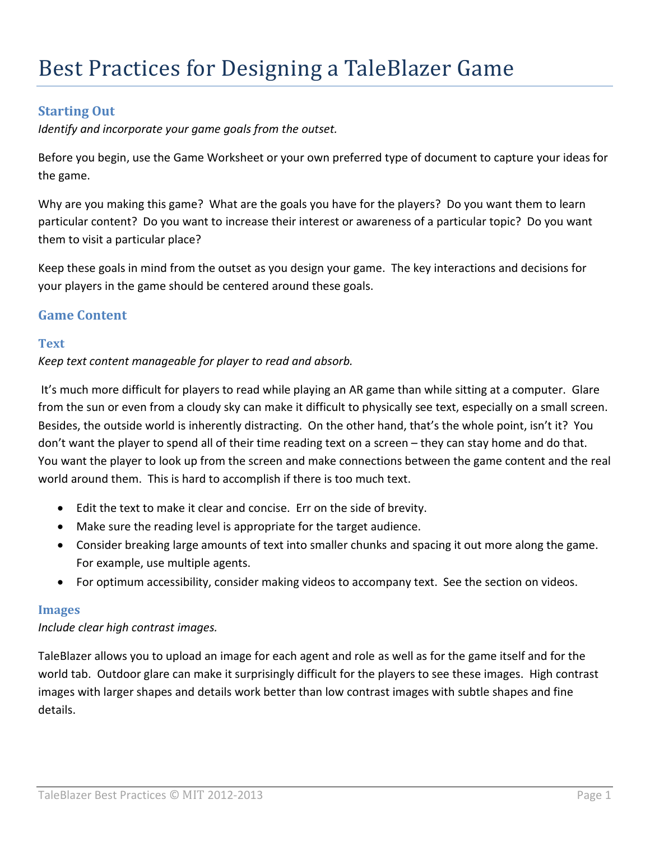# **Starting Out**

*Identify and incorporate your game goals from the outset.* 

Before you begin, use the Game Worksheet or your own preferred type of document to capture your ideas for the game.

Why are you making this game? What are the goals you have for the players? Do you want them to learn particular content? Do you want to increase their interest or awareness of a particular topic? Do you want them to visit a particular place?

Keep these goals in mind from the outset as you design your game. The key interactions and decisions for your players in the game should be centered around these goals.

# **Game Content**

### **Text**

### *Keep text content manageable for player to read and absorb.*

It's much more difficult for players to read while playing an AR game than while sitting at a computer. Glare from the sun or even from a cloudy sky can make it difficult to physically see text, especially on a small screen. Besides, the outside world is inherently distracting. On the other hand, that's the whole point, isn't it? You don't want the player to spend all of their time reading text on a screen – they can stay home and do that. You want the player to look up from the screen and make connections between the game content and the real world around them. This is hard to accomplish if there is too much text.

- Edit the text to make it clear and concise. Err on the side of brevity.
- Make sure the reading level is appropriate for the target audience.
- Consider breaking large amounts of text into smaller chunks and spacing it out more along the game. For example, use multiple agents.
- For optimum accessibility, consider making videos to accompany text. See the section on videos.

### **Images**

### *Include clear high contrast images.*

TaleBlazer allows you to upload an image for each agent and role as well as for the game itself and for the world tab. Outdoor glare can make it surprisingly difficult for the players to see these images. High contrast images with larger shapes and details work better than low contrast images with subtle shapes and fine details.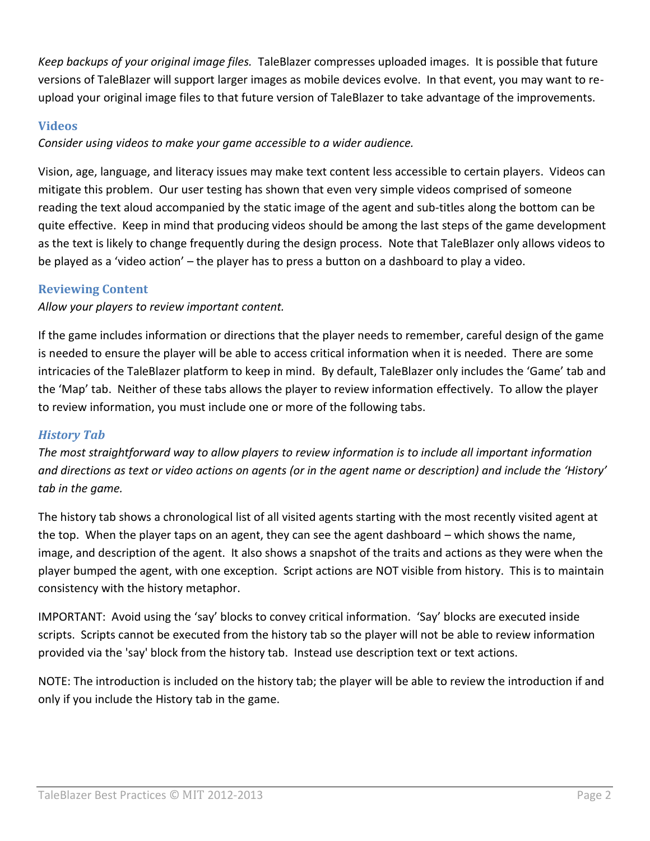*Keep backups of your original image files.* TaleBlazer compresses uploaded images. It is possible that future versions of TaleBlazer will support larger images as mobile devices evolve. In that event, you may want to reupload your original image files to that future version of TaleBlazer to take advantage of the improvements.

### **Videos**

*Consider using videos to make your game accessible to a wider audience.*

Vision, age, language, and literacy issues may make text content less accessible to certain players. Videos can mitigate this problem. Our user testing has shown that even very simple videos comprised of someone reading the text aloud accompanied by the static image of the agent and sub-titles along the bottom can be quite effective. Keep in mind that producing videos should be among the last steps of the game development as the text is likely to change frequently during the design process. Note that TaleBlazer only allows videos to be played as a 'video action' – the player has to press a button on a dashboard to play a video.

## **Reviewing Content**

*Allow your players to review important content.*

If the game includes information or directions that the player needs to remember, careful design of the game is needed to ensure the player will be able to access critical information when it is needed. There are some intricacies of the TaleBlazer platform to keep in mind. By default, TaleBlazer only includes the 'Game' tab and the 'Map' tab. Neither of these tabs allows the player to review information effectively. To allow the player to review information, you must include one or more of the following tabs.

## *History Tab*

*The most straightforward way to allow players to review information is to include all important information and directions as text or video actions on agents (or in the agent name or description) and include the 'History' tab in the game.*

The history tab shows a chronological list of all visited agents starting with the most recently visited agent at the top. When the player taps on an agent, they can see the agent dashboard – which shows the name, image, and description of the agent. It also shows a snapshot of the traits and actions as they were when the player bumped the agent, with one exception. Script actions are NOT visible from history. This is to maintain consistency with the history metaphor.

IMPORTANT: Avoid using the 'say' blocks to convey critical information. 'Say' blocks are executed inside scripts. Scripts cannot be executed from the history tab so the player will not be able to review information provided via the 'say' block from the history tab. Instead use description text or text actions.

NOTE: The introduction is included on the history tab; the player will be able to review the introduction if and only if you include the History tab in the game.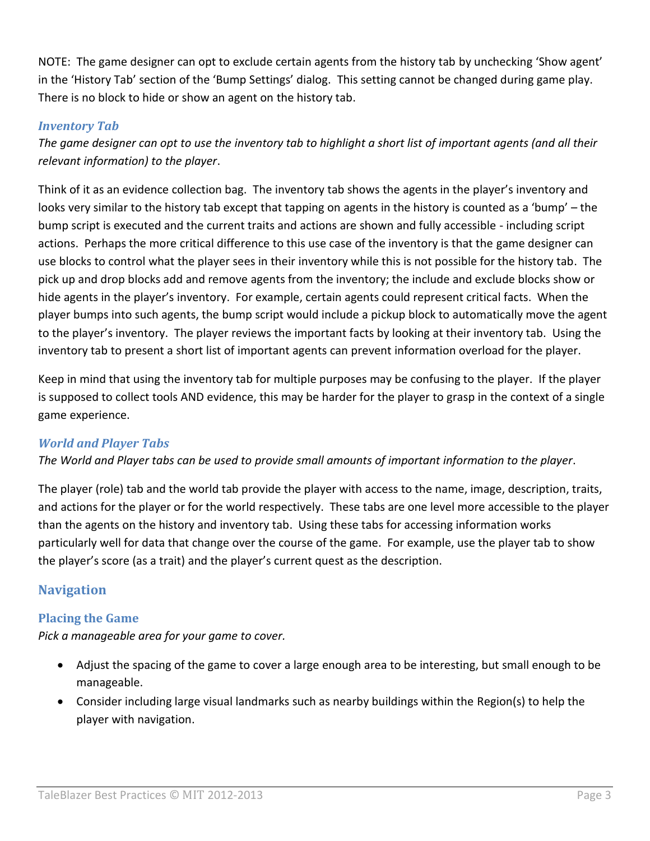NOTE: The game designer can opt to exclude certain agents from the history tab by unchecking 'Show agent' in the 'History Tab' section of the 'Bump Settings' dialog. This setting cannot be changed during game play. There is no block to hide or show an agent on the history tab.

## *Inventory Tab*

*The game designer can opt to use the inventory tab to highlight a short list of important agents (and all their relevant information) to the player*.

Think of it as an evidence collection bag. The inventory tab shows the agents in the player's inventory and looks very similar to the history tab except that tapping on agents in the history is counted as a 'bump' – the bump script is executed and the current traits and actions are shown and fully accessible - including script actions. Perhaps the more critical difference to this use case of the inventory is that the game designer can use blocks to control what the player sees in their inventory while this is not possible for the history tab. The pick up and drop blocks add and remove agents from the inventory; the include and exclude blocks show or hide agents in the player's inventory. For example, certain agents could represent critical facts. When the player bumps into such agents, the bump script would include a pickup block to automatically move the agent to the player's inventory. The player reviews the important facts by looking at their inventory tab. Using the inventory tab to present a short list of important agents can prevent information overload for the player.

Keep in mind that using the inventory tab for multiple purposes may be confusing to the player. If the player is supposed to collect tools AND evidence, this may be harder for the player to grasp in the context of a single game experience.

## *World and Player Tabs*

*The World and Player tabs can be used to provide small amounts of important information to the player*.

The player (role) tab and the world tab provide the player with access to the name, image, description, traits, and actions for the player or for the world respectively. These tabs are one level more accessible to the player than the agents on the history and inventory tab. Using these tabs for accessing information works particularly well for data that change over the course of the game. For example, use the player tab to show the player's score (as a trait) and the player's current quest as the description.

# **Navigation**

## **Placing the Game**

*Pick a manageable area for your game to cover.*

- Adjust the spacing of the game to cover a large enough area to be interesting, but small enough to be manageable.
- Consider including large visual landmarks such as nearby buildings within the Region(s) to help the player with navigation.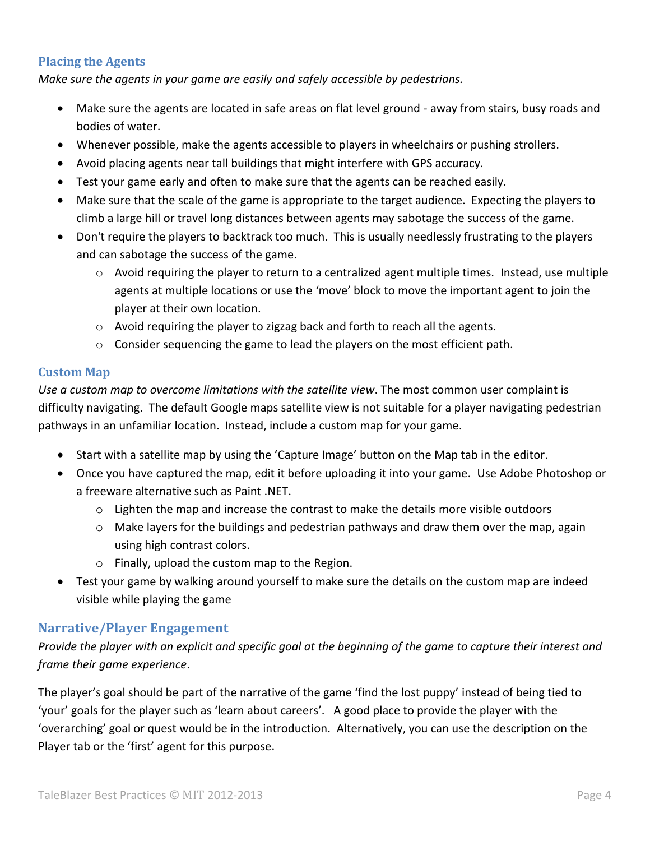### **Placing the Agents**

*Make sure the agents in your game are easily and safely accessible by pedestrians.*

- Make sure the agents are located in safe areas on flat level ground away from stairs, busy roads and bodies of water.
- Whenever possible, make the agents accessible to players in wheelchairs or pushing strollers.
- Avoid placing agents near tall buildings that might interfere with GPS accuracy.
- Test your game early and often to make sure that the agents can be reached easily.
- Make sure that the scale of the game is appropriate to the target audience. Expecting the players to climb a large hill or travel long distances between agents may sabotage the success of the game.
- Don't require the players to backtrack too much. This is usually needlessly frustrating to the players and can sabotage the success of the game.
	- $\circ$  Avoid requiring the player to return to a centralized agent multiple times. Instead, use multiple agents at multiple locations or use the 'move' block to move the important agent to join the player at their own location.
	- o Avoid requiring the player to zigzag back and forth to reach all the agents.
	- $\circ$  Consider sequencing the game to lead the players on the most efficient path.

#### **Custom Map**

*Use a custom map to overcome limitations with the satellite view*. The most common user complaint is difficulty navigating. The default Google maps satellite view is not suitable for a player navigating pedestrian pathways in an unfamiliar location. Instead, include a custom map for your game.

- Start with a satellite map by using the 'Capture Image' button on the Map tab in the editor.
- Once you have captured the map, edit it before uploading it into your game. Use Adobe Photoshop or a freeware alternative such as Paint .NET.
	- $\circ$  Lighten the map and increase the contrast to make the details more visible outdoors
	- $\circ$  Make layers for the buildings and pedestrian pathways and draw them over the map, again using high contrast colors.
	- o Finally, upload the custom map to the Region.
- Test your game by walking around yourself to make sure the details on the custom map are indeed visible while playing the game

### **Narrative/Player Engagement**

*Provide the player with an explicit and specific goal at the beginning of the game to capture their interest and frame their game experience*.

The player's goal should be part of the narrative of the game 'find the lost puppy' instead of being tied to 'your' goals for the player such as 'learn about careers'. A good place to provide the player with the 'overarching' goal or quest would be in the introduction. Alternatively, you can use the description on the Player tab or the 'first' agent for this purpose.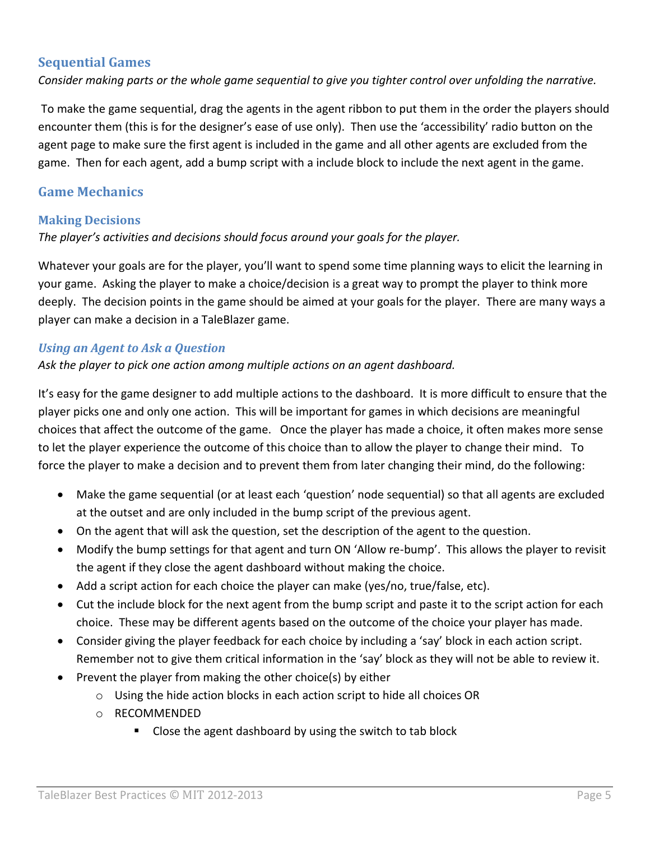### **Sequential Games**

*Consider making parts or the whole game sequential to give you tighter control over unfolding the narrative.* 

To make the game sequential, drag the agents in the agent ribbon to put them in the order the players should encounter them (this is for the designer's ease of use only). Then use the 'accessibility' radio button on the agent page to make sure the first agent is included in the game and all other agents are excluded from the game. Then for each agent, add a bump script with a include block to include the next agent in the game.

## **Game Mechanics**

### **Making Decisions**

*The player's activities and decisions should focus around your goals for the player.* 

Whatever your goals are for the player, you'll want to spend some time planning ways to elicit the learning in your game. Asking the player to make a choice/decision is a great way to prompt the player to think more deeply. The decision points in the game should be aimed at your goals for the player. There are many ways a player can make a decision in a TaleBlazer game.

### *Using an Agent to Ask a Question*

*Ask the player to pick one action among multiple actions on an agent dashboard.*

It's easy for the game designer to add multiple actions to the dashboard. It is more difficult to ensure that the player picks one and only one action. This will be important for games in which decisions are meaningful choices that affect the outcome of the game. Once the player has made a choice, it often makes more sense to let the player experience the outcome of this choice than to allow the player to change their mind. To force the player to make a decision and to prevent them from later changing their mind, do the following:

- Make the game sequential (or at least each 'question' node sequential) so that all agents are excluded at the outset and are only included in the bump script of the previous agent.
- On the agent that will ask the question, set the description of the agent to the question.
- Modify the bump settings for that agent and turn ON 'Allow re-bump'. This allows the player to revisit the agent if they close the agent dashboard without making the choice.
- Add a script action for each choice the player can make (yes/no, true/false, etc).
- Cut the include block for the next agent from the bump script and paste it to the script action for each choice. These may be different agents based on the outcome of the choice your player has made.
- Consider giving the player feedback for each choice by including a 'say' block in each action script. Remember not to give them critical information in the 'say' block as they will not be able to review it.
- Prevent the player from making the other choice(s) by either
	- o Using the hide action blocks in each action script to hide all choices OR
	- o RECOMMENDED
		- Close the agent dashboard by using the switch to tab block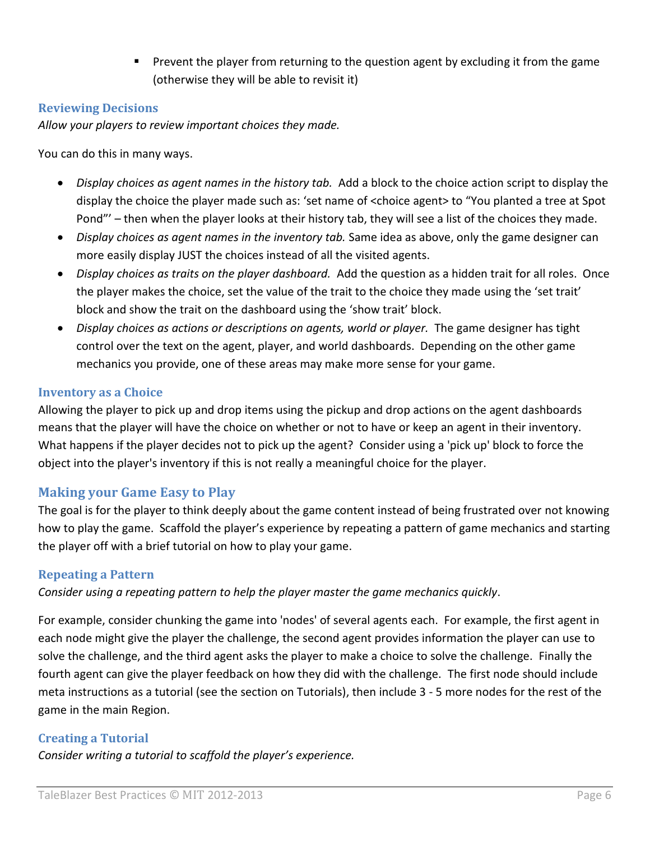**Prevent the player from returning to the question agent by excluding it from the game** (otherwise they will be able to revisit it)

### **Reviewing Decisions**

*Allow your players to review important choices they made.*

You can do this in many ways.

- *Display choices as agent names in the history tab.* Add a block to the choice action script to display the display the choice the player made such as: 'set name of <choice agent> to "You planted a tree at Spot Pond"' – then when the player looks at their history tab, they will see a list of the choices they made.
- *Display choices as agent names in the inventory tab.* Same idea as above, only the game designer can more easily display JUST the choices instead of all the visited agents.
- *Display choices as traits on the player dashboard.* Add the question as a hidden trait for all roles. Once the player makes the choice, set the value of the trait to the choice they made using the 'set trait' block and show the trait on the dashboard using the 'show trait' block.
- *Display choices as actions or descriptions on agents, world or player.* The game designer has tight control over the text on the agent, player, and world dashboards. Depending on the other game mechanics you provide, one of these areas may make more sense for your game.

#### **Inventory as a Choice**

Allowing the player to pick up and drop items using the pickup and drop actions on the agent dashboards means that the player will have the choice on whether or not to have or keep an agent in their inventory. What happens if the player decides not to pick up the agent? Consider using a 'pick up' block to force the object into the player's inventory if this is not really a meaningful choice for the player.

### **Making your Game Easy to Play**

The goal is for the player to think deeply about the game content instead of being frustrated over not knowing how to play the game. Scaffold the player's experience by repeating a pattern of game mechanics and starting the player off with a brief tutorial on how to play your game.

### **Repeating a Pattern**

*Consider using a repeating pattern to help the player master the game mechanics quickly*.

For example, consider chunking the game into 'nodes' of several agents each. For example, the first agent in each node might give the player the challenge, the second agent provides information the player can use to solve the challenge, and the third agent asks the player to make a choice to solve the challenge. Finally the fourth agent can give the player feedback on how they did with the challenge. The first node should include meta instructions as a tutorial (see the section on Tutorials), then include 3 - 5 more nodes for the rest of the game in the main Region.

### **Creating a Tutorial**

*Consider writing a tutorial to scaffold the player's experience.*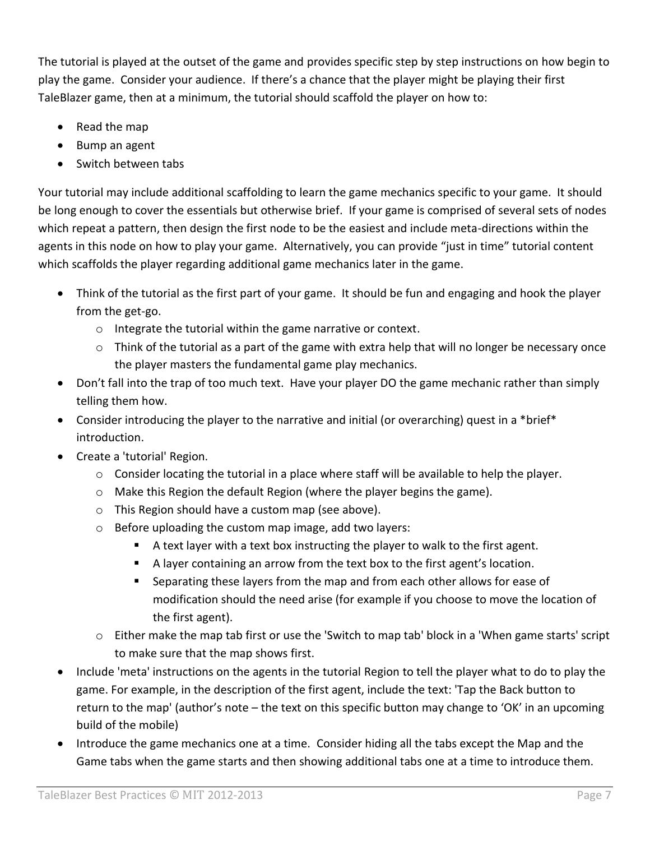The tutorial is played at the outset of the game and provides specific step by step instructions on how begin to play the game. Consider your audience. If there's a chance that the player might be playing their first TaleBlazer game, then at a minimum, the tutorial should scaffold the player on how to:

- Read the map
- Bump an agent
- Switch between tabs

Your tutorial may include additional scaffolding to learn the game mechanics specific to your game. It should be long enough to cover the essentials but otherwise brief. If your game is comprised of several sets of nodes which repeat a pattern, then design the first node to be the easiest and include meta-directions within the agents in this node on how to play your game. Alternatively, you can provide "just in time" tutorial content which scaffolds the player regarding additional game mechanics later in the game.

- Think of the tutorial as the first part of your game. It should be fun and engaging and hook the player from the get-go.
	- o Integrate the tutorial within the game narrative or context.
	- $\circ$  Think of the tutorial as a part of the game with extra help that will no longer be necessary once the player masters the fundamental game play mechanics.
- Don't fall into the trap of too much text. Have your player DO the game mechanic rather than simply telling them how.
- Consider introducing the player to the narrative and initial (or overarching) quest in a \*brief\* introduction.
- Create a 'tutorial' Region.
	- $\circ$  Consider locating the tutorial in a place where staff will be available to help the player.
	- o Make this Region the default Region (where the player begins the game).
	- o This Region should have a custom map (see above).
	- o Before uploading the custom map image, add two layers:
		- A text layer with a text box instructing the player to walk to the first agent.
		- A layer containing an arrow from the text box to the first agent's location.
		- **Separating these layers from the map and from each other allows for ease of** modification should the need arise (for example if you choose to move the location of the first agent).
	- $\circ$  Either make the map tab first or use the 'Switch to map tab' block in a 'When game starts' script to make sure that the map shows first.
- Include 'meta' instructions on the agents in the tutorial Region to tell the player what to do to play the game. For example, in the description of the first agent, include the text: 'Tap the Back button to return to the map' (author's note – the text on this specific button may change to 'OK' in an upcoming build of the mobile)
- Introduce the game mechanics one at a time. Consider hiding all the tabs except the Map and the Game tabs when the game starts and then showing additional tabs one at a time to introduce them.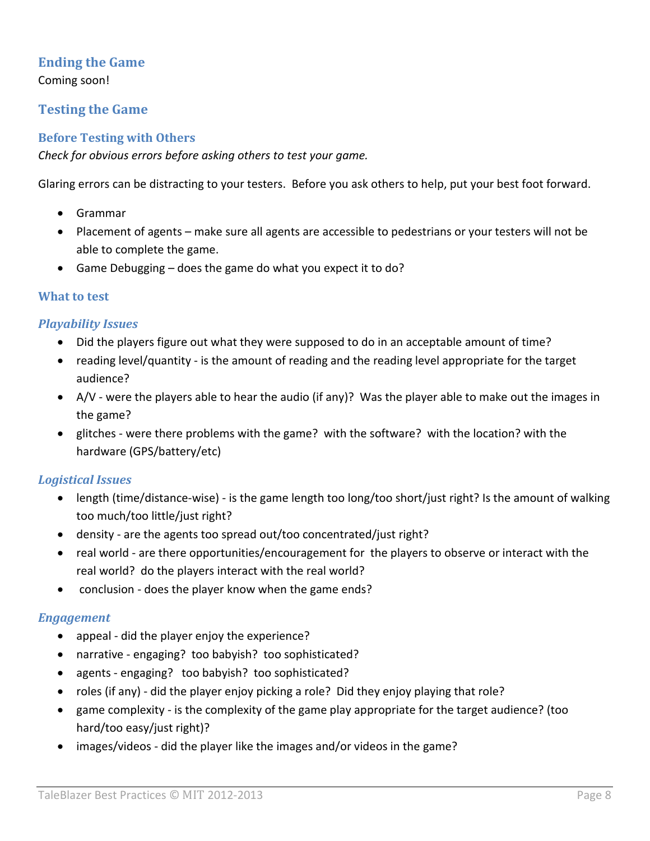## **Ending the Game**

Coming soon!

## **Testing the Game**

#### **Before Testing with Others**

*Check for obvious errors before asking others to test your game.*

Glaring errors can be distracting to your testers. Before you ask others to help, put your best foot forward.

- Grammar
- Placement of agents make sure all agents are accessible to pedestrians or your testers will not be able to complete the game.
- Game Debugging does the game do what you expect it to do?

#### **What to test**

### *Playability Issues*

- Did the players figure out what they were supposed to do in an acceptable amount of time?
- reading level/quantity is the amount of reading and the reading level appropriate for the target audience?
- A/V were the players able to hear the audio (if any)? Was the player able to make out the images in the game?
- glitches were there problems with the game? with the software? with the location? with the hardware (GPS/battery/etc)

### *Logistical Issues*

- length (time/distance-wise) is the game length too long/too short/just right? Is the amount of walking too much/too little/just right?
- density are the agents too spread out/too concentrated/just right?
- real world are there opportunities/encouragement for the players to observe or interact with the real world? do the players interact with the real world?
- conclusion does the player know when the game ends?

### *Engagement*

- appeal did the player enjoy the experience?
- narrative engaging? too babyish? too sophisticated?
- agents engaging? too babyish? too sophisticated?
- roles (if any) did the player enjoy picking a role? Did they enjoy playing that role?
- game complexity is the complexity of the game play appropriate for the target audience? (too hard/too easy/just right)?
- images/videos did the player like the images and/or videos in the game?